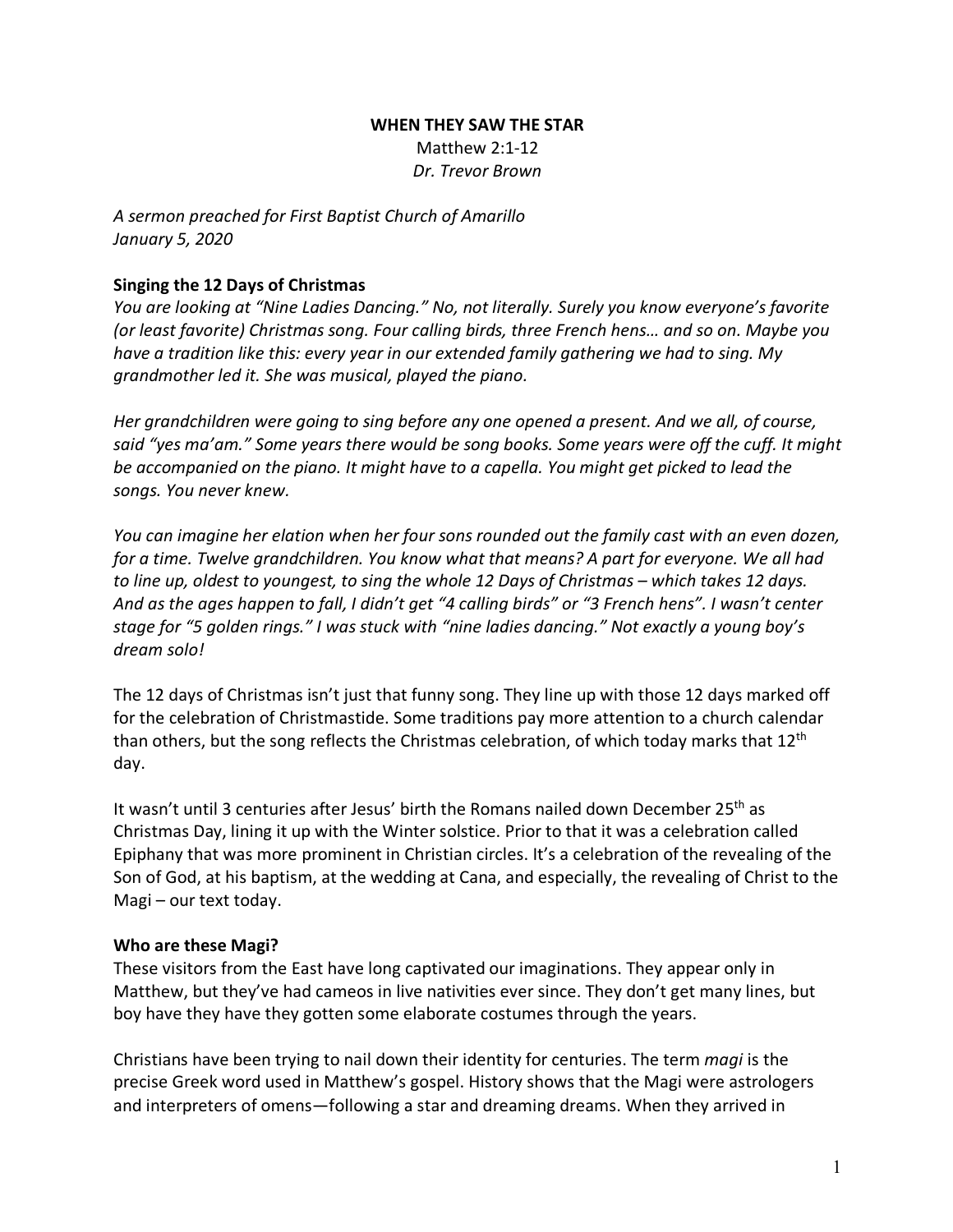### **WHEN THEY SAW THE STAR** Matthew 2:1-12 *Dr. Trevor Brown*

*A sermon preached for First Baptist Church of Amarillo January 5, 2020*

### **Singing the 12 Days of Christmas**

*You are looking at "Nine Ladies Dancing." No, not literally. Surely you know everyone's favorite (or least favorite) Christmas song. Four calling birds, three French hens… and so on. Maybe you have a tradition like this: every year in our extended family gathering we had to sing. My grandmother led it. She was musical, played the piano.* 

*Her grandchildren were going to sing before any one opened a present. And we all, of course, said "yes ma'am." Some years there would be song books. Some years were off the cuff. It might be accompanied on the piano. It might have to a capella. You might get picked to lead the songs. You never knew.*

*You can imagine her elation when her four sons rounded out the family cast with an even dozen, for a time. Twelve grandchildren. You know what that means? A part for everyone. We all had to line up, oldest to youngest, to sing the whole 12 Days of Christmas – which takes 12 days. And as the ages happen to fall, I didn't get "4 calling birds" or "3 French hens". I wasn't center stage for "5 golden rings." I was stuck with "nine ladies dancing." Not exactly a young boy's dream solo!* 

The 12 days of Christmas isn't just that funny song. They line up with those 12 days marked off for the celebration of Christmastide. Some traditions pay more attention to a church calendar than others, but the song reflects the Christmas celebration, of which today marks that  $12<sup>th</sup>$ day.

It wasn't until 3 centuries after Jesus' birth the Romans nailed down December 25<sup>th</sup> as Christmas Day, lining it up with the Winter solstice. Prior to that it was a celebration called Epiphany that was more prominent in Christian circles. It's a celebration of the revealing of the Son of God, at his baptism, at the wedding at Cana, and especially, the revealing of Christ to the Magi – our text today.

## **Who are these Magi?**

These visitors from the East have long captivated our imaginations. They appear only in Matthew, but they've had cameos in live nativities ever since. They don't get many lines, but boy have they have they gotten some elaborate costumes through the years.

Christians have been trying to nail down their identity for centuries. The term *magi* is the precise Greek word used in Matthew's gospel. History shows that the Magi were astrologers and interpreters of omens—following a star and dreaming dreams. When they arrived in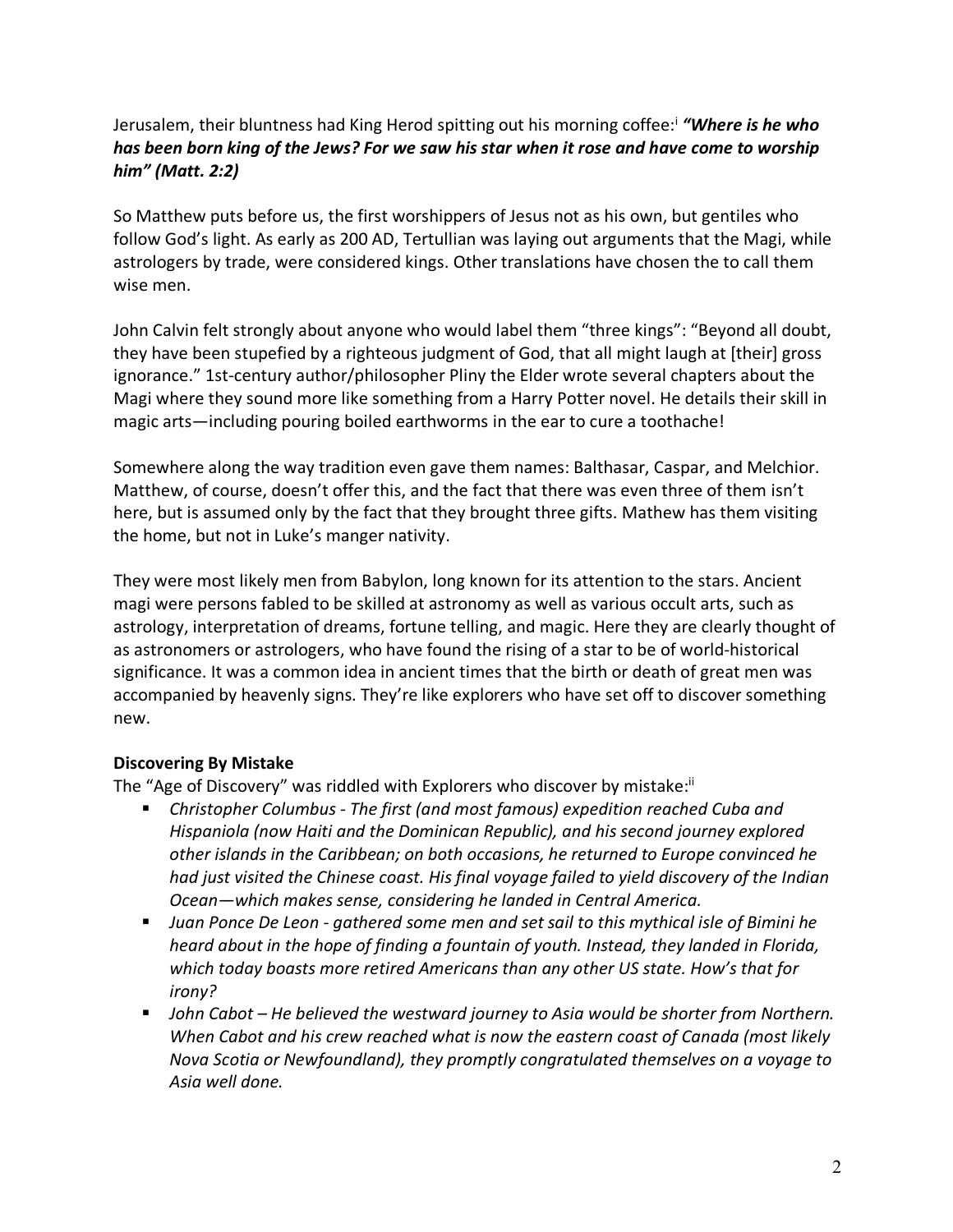# Jerusalem, their bluntness had King Herod spitting out his morning coffee:i *"Where is he who has been born king of the Jews? For we saw his star when it rose and have come to worship him" (Matt. 2:2)*

So Matthew puts before us, the first worshippers of Jesus not as his own, but gentiles who follow God's light. As early as 200 AD, Tertullian was laying out arguments that the Magi, while astrologers by trade, were considered kings. Other translations have chosen the to call them wise men.

John Calvin felt strongly about anyone who would label them "three kings": "Beyond all doubt, they have been stupefied by a righteous judgment of God, that all might laugh at [their] gross ignorance." 1st-century author/philosopher Pliny the Elder wrote several chapters about the Magi where they sound more like something from a Harry Potter novel. He details their skill in magic arts—including pouring boiled earthworms in the ear to cure a toothache!

Somewhere along the way tradition even gave them names: Balthasar, Caspar, and Melchior. Matthew, of course, doesn't offer this, and the fact that there was even three of them isn't here, but is assumed only by the fact that they brought three gifts. Mathew has them visiting the home, but not in Luke's manger nativity.

They were most likely men from Babylon, long known for its attention to the stars. Ancient magi were persons fabled to be skilled at astronomy as well as various occult arts, such as astrology, interpretation of dreams, fortune telling, and magic. Here they are clearly thought of as astronomers or astrologers, who have found the rising of a star to be of world-historical significance. It was a common idea in ancient times that the birth or death of great men was accompanied by heavenly signs. They're like explorers who have set off to discover something new.

## **Discovering By Mistake**

The "Age of Discovery" was riddled with Explorers who discover by mistake:<sup>ii</sup>

- § *Christopher Columbus - The first (and most famous) expedition reached Cuba and Hispaniola (now Haiti and the Dominican Republic), and his second journey explored other islands in the Caribbean; on both occasions, he returned to Europe convinced he had just visited the Chinese coast. His final voyage failed to yield discovery of the Indian Ocean—which makes sense, considering he landed in Central America.*
- § *Juan Ponce De Leon - gathered some men and set sail to this mythical isle of Bimini he heard about in the hope of finding a fountain of youth. Instead, they landed in Florida, which today boasts more retired Americans than any other US state. How's that for irony?*
- § *John Cabot – He believed the westward journey to Asia would be shorter from Northern. When Cabot and his crew reached what is now the eastern coast of Canada (most likely Nova Scotia or Newfoundland), they promptly congratulated themselves on a voyage to Asia well done.*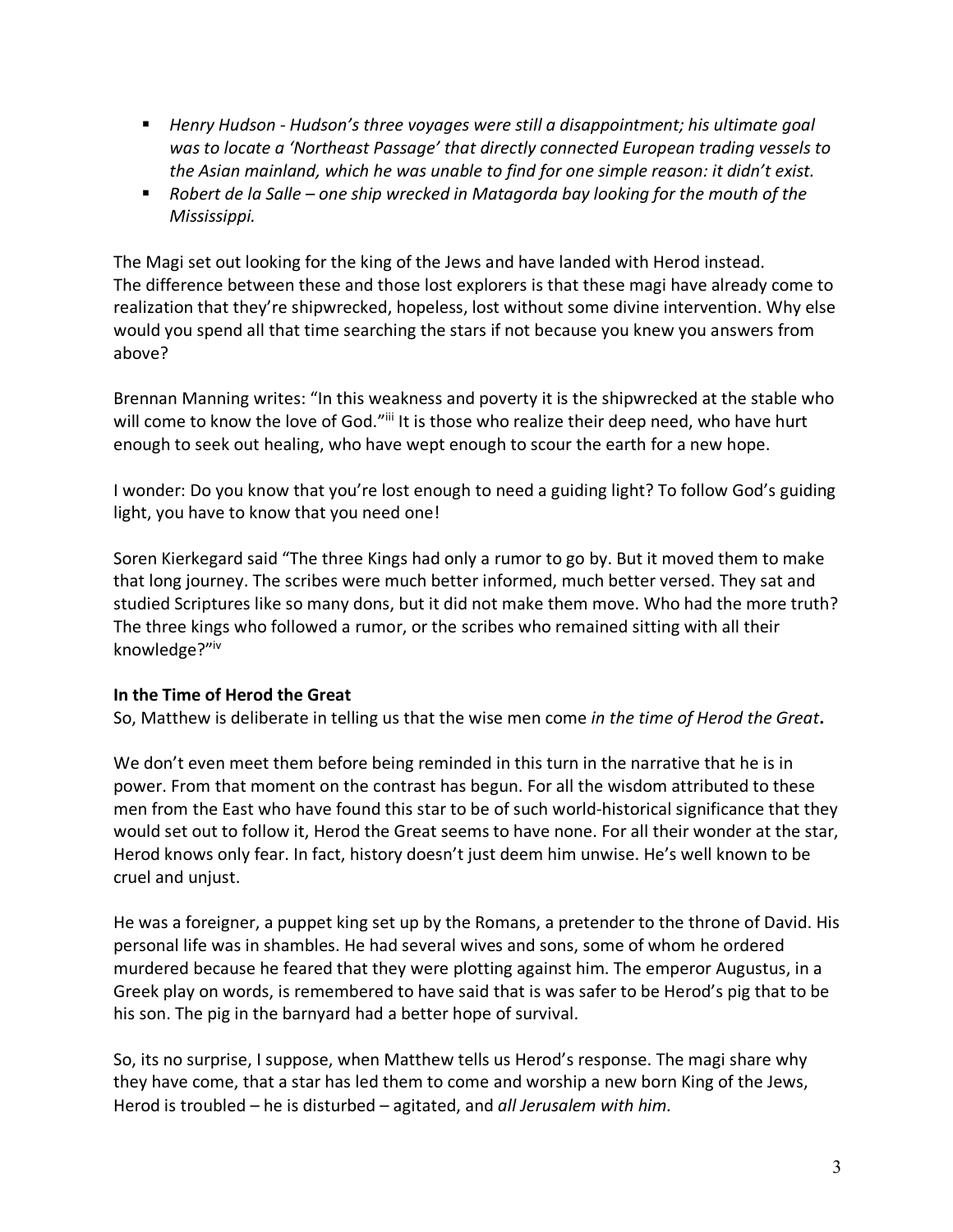- *Henry Hudson Hudson's three voyages were still a disappointment; his ultimate goal was to locate a 'Northeast Passage' that directly connected European trading vessels to the Asian mainland, which he was unable to find for one simple reason: it didn't exist.*
- Robert de la Salle one ship wrecked in Matagorda bay looking for the mouth of the *Mississippi.*

The Magi set out looking for the king of the Jews and have landed with Herod instead. The difference between these and those lost explorers is that these magi have already come to realization that they're shipwrecked, hopeless, lost without some divine intervention. Why else would you spend all that time searching the stars if not because you knew you answers from above?

Brennan Manning writes: "In this weakness and poverty it is the shipwrecked at the stable who will come to know the love of God."iii It is those who realize their deep need, who have hurt enough to seek out healing, who have wept enough to scour the earth for a new hope.

I wonder: Do you know that you're lost enough to need a guiding light? To follow God's guiding light, you have to know that you need one!

Soren Kierkegard said "The three Kings had only a rumor to go by. But it moved them to make that long journey. The scribes were much better informed, much better versed. They sat and studied Scriptures like so many dons, but it did not make them move. Who had the more truth? The three kings who followed a rumor, or the scribes who remained sitting with all their knowledge?"iv

## **In the Time of Herod the Great**

So, Matthew is deliberate in telling us that the wise men come *in the time of Herod the Great***.** 

We don't even meet them before being reminded in this turn in the narrative that he is in power. From that moment on the contrast has begun. For all the wisdom attributed to these men from the East who have found this star to be of such world-historical significance that they would set out to follow it, Herod the Great seems to have none. For all their wonder at the star, Herod knows only fear. In fact, history doesn't just deem him unwise. He's well known to be cruel and unjust.

He was a foreigner, a puppet king set up by the Romans, a pretender to the throne of David. His personal life was in shambles. He had several wives and sons, some of whom he ordered murdered because he feared that they were plotting against him. The emperor Augustus, in a Greek play on words, is remembered to have said that is was safer to be Herod's pig that to be his son. The pig in the barnyard had a better hope of survival.

So, its no surprise, I suppose, when Matthew tells us Herod's response. The magi share why they have come, that a star has led them to come and worship a new born King of the Jews, Herod is troubled – he is disturbed – agitated, and *all Jerusalem with him.*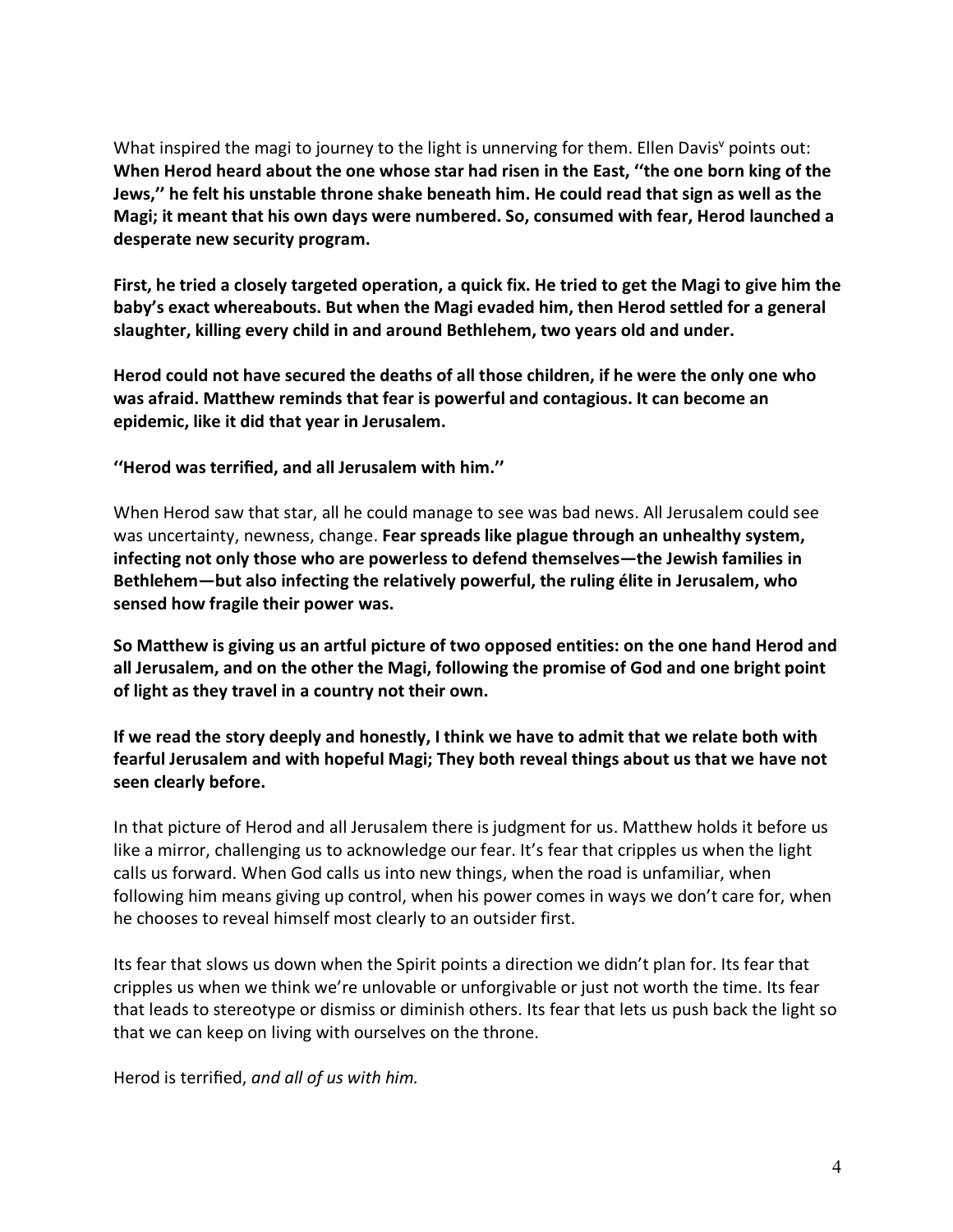What inspired the magi to journey to the light is unnerving for them. Ellen Davis<sup> $v$ </sup> points out: **When Herod heard about the one whose star had risen in the East, ''the one born king of the Jews,'' he felt his unstable throne shake beneath him. He could read that sign as well as the Magi; it meant that his own days were numbered. So, consumed with fear, Herod launched a desperate new security program.** 

**First, he tried a closely targeted operation, a quick fix. He tried to get the Magi to give him the baby's exact whereabouts. But when the Magi evaded him, then Herod settled for a general slaughter, killing every child in and around Bethlehem, two years old and under.**

**Herod could not have secured the deaths of all those children, if he were the only one who was afraid. Matthew reminds that fear is powerful and contagious. It can become an epidemic, like it did that year in Jerusalem.**

**''Herod was terrified, and all Jerusalem with him.''** 

When Herod saw that star, all he could manage to see was bad news. All Jerusalem could see was uncertainty, newness, change. **Fear spreads like plague through an unhealthy system, infecting not only those who are powerless to defend themselves—the Jewish families in Bethlehem—but also infecting the relatively powerful, the ruling élite in Jerusalem, who sensed how fragile their power was.**

**So Matthew is giving us an artful picture of two opposed entities: on the one hand Herod and all Jerusalem, and on the other the Magi, following the promise of God and one bright point of light as they travel in a country not their own.** 

**If we read the story deeply and honestly, I think we have to admit that we relate both with fearful Jerusalem and with hopeful Magi; They both reveal things about us that we have not seen clearly before.**

In that picture of Herod and all Jerusalem there is judgment for us. Matthew holds it before us like a mirror, challenging us to acknowledge our fear. It's fear that cripples us when the light calls us forward. When God calls us into new things, when the road is unfamiliar, when following him means giving up control, when his power comes in ways we don't care for, when he chooses to reveal himself most clearly to an outsider first.

Its fear that slows us down when the Spirit points a direction we didn't plan for. Its fear that cripples us when we think we're unlovable or unforgivable or just not worth the time. Its fear that leads to stereotype or dismiss or diminish others. Its fear that lets us push back the light so that we can keep on living with ourselves on the throne.

Herod is terrified, *and all of us with him.*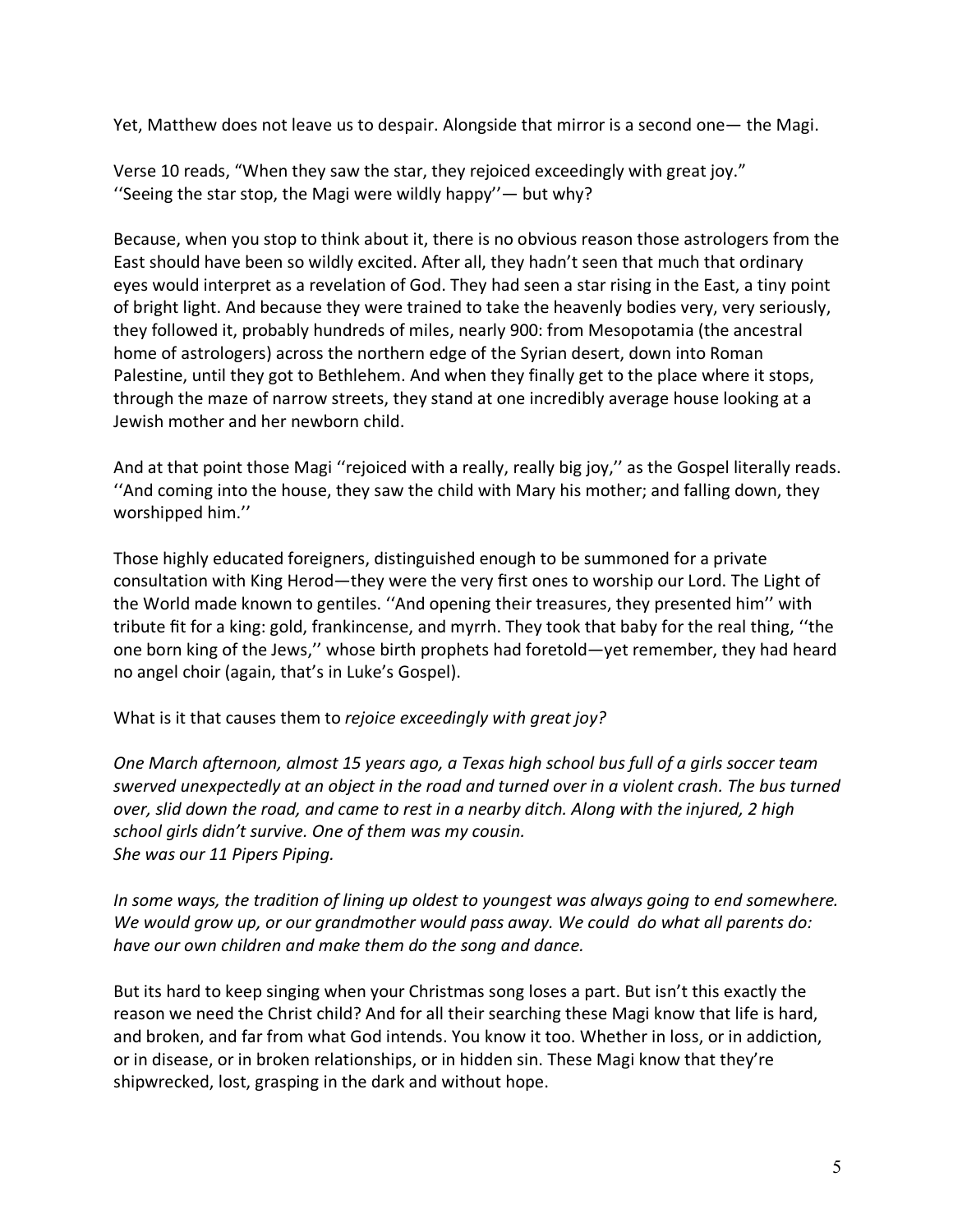Yet, Matthew does not leave us to despair. Alongside that mirror is a second one— the Magi.

Verse 10 reads, "When they saw the star, they rejoiced exceedingly with great joy." ''Seeing the star stop, the Magi were wildly happy''— but why?

Because, when you stop to think about it, there is no obvious reason those astrologers from the East should have been so wildly excited. After all, they hadn't seen that much that ordinary eyes would interpret as a revelation of God. They had seen a star rising in the East, a tiny point of bright light. And because they were trained to take the heavenly bodies very, very seriously, they followed it, probably hundreds of miles, nearly 900: from Mesopotamia (the ancestral home of astrologers) across the northern edge of the Syrian desert, down into Roman Palestine, until they got to Bethlehem. And when they finally get to the place where it stops, through the maze of narrow streets, they stand at one incredibly average house looking at a Jewish mother and her newborn child.

And at that point those Magi ''rejoiced with a really, really big joy,'' as the Gospel literally reads. ''And coming into the house, they saw the child with Mary his mother; and falling down, they worshipped him.''

Those highly educated foreigners, distinguished enough to be summoned for a private consultation with King Herod—they were the very first ones to worship our Lord. The Light of the World made known to gentiles. ''And opening their treasures, they presented him'' with tribute fit for a king: gold, frankincense, and myrrh. They took that baby for the real thing, ''the one born king of the Jews,'' whose birth prophets had foretold—yet remember, they had heard no angel choir (again, that's in Luke's Gospel).

What is it that causes them to *rejoice exceedingly with great joy?*

*One March afternoon, almost 15 years ago, a Texas high school bus full of a girls soccer team swerved unexpectedly at an object in the road and turned over in a violent crash. The bus turned over, slid down the road, and came to rest in a nearby ditch. Along with the injured, 2 high school girls didn't survive. One of them was my cousin. She was our 11 Pipers Piping.*

*In some ways, the tradition of lining up oldest to youngest was always going to end somewhere. We would grow up, or our grandmother would pass away. We could do what all parents do: have our own children and make them do the song and dance.*

But its hard to keep singing when your Christmas song loses a part. But isn't this exactly the reason we need the Christ child? And for all their searching these Magi know that life is hard, and broken, and far from what God intends. You know it too. Whether in loss, or in addiction, or in disease, or in broken relationships, or in hidden sin. These Magi know that they're shipwrecked, lost, grasping in the dark and without hope.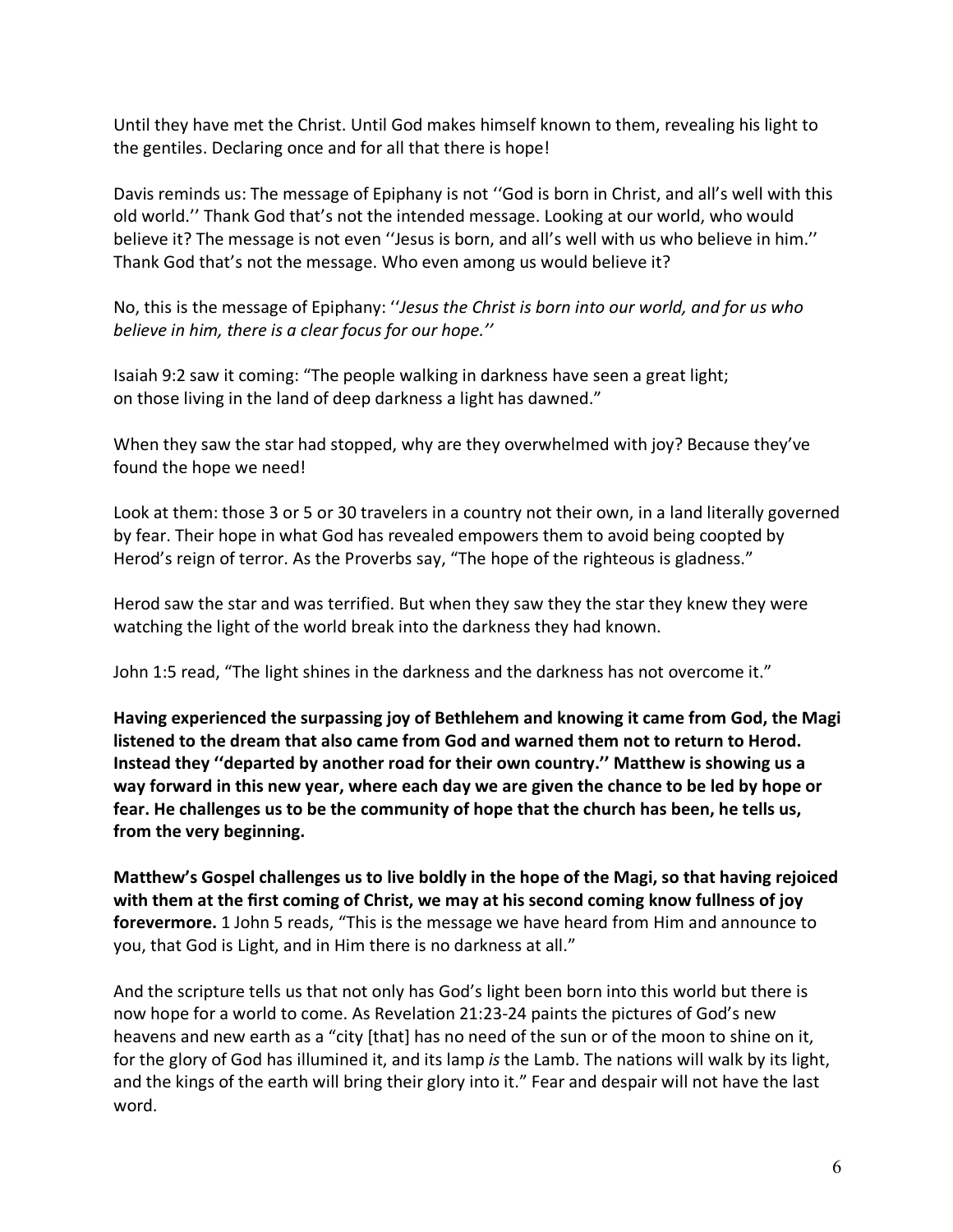Until they have met the Christ. Until God makes himself known to them, revealing his light to the gentiles. Declaring once and for all that there is hope!

Davis reminds us: The message of Epiphany is not ''God is born in Christ, and all's well with this old world.'' Thank God that's not the intended message. Looking at our world, who would believe it? The message is not even "Jesus is born, and all's well with us who believe in him." Thank God that's not the message. Who even among us would believe it?

No, this is the message of Epiphany: ''*Jesus the Christ is born into our world, and for us who believe in him, there is a clear focus for our hope.''*

Isaiah 9:2 saw it coming: "The people walking in darkness have seen a great light; on those living in the land of deep darkness a light has dawned."

When they saw the star had stopped, why are they overwhelmed with joy? Because they've found the hope we need!

Look at them: those 3 or 5 or 30 travelers in a country not their own, in a land literally governed by fear. Their hope in what God has revealed empowers them to avoid being coopted by Herod's reign of terror. As the Proverbs say, "The hope of the righteous is gladness."

Herod saw the star and was terrified. But when they saw they the star they knew they were watching the light of the world break into the darkness they had known.

John 1:5 read, "The light shines in the darkness and the darkness has not overcome it."

**Having experienced the surpassing joy of Bethlehem and knowing it came from God, the Magi listened to the dream that also came from God and warned them not to return to Herod. Instead they ''departed by another road for their own country.'' Matthew is showing us a way forward in this new year, where each day we are given the chance to be led by hope or fear. He challenges us to be the community of hope that the church has been, he tells us, from the very beginning.** 

**Matthew's Gospel challenges us to live boldly in the hope of the Magi, so that having rejoiced with them at the first coming of Christ, we may at his second coming know fullness of joy forevermore.** 1 John 5 reads, "This is the message we have heard from Him and announce to you, that God is Light, and in Him there is no darkness at all."

And the scripture tells us that not only has God's light been born into this world but there is now hope for a world to come. As Revelation 21:23-24 paints the pictures of God's new heavens and new earth as a "city [that] has no need of the sun or of the moon to shine on it, for the glory of God has illumined it, and its lamp *is* the Lamb. The nations will walk by its light, and the kings of the earth will bring their glory into it." Fear and despair will not have the last word.